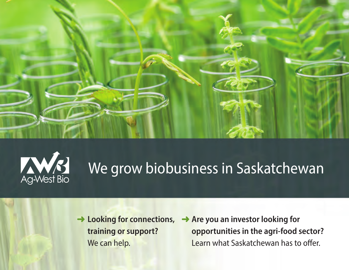



# We grow biobusiness in Saskatchewan

- ➜ **Looking for connections, training or support?**  We can help.
- ➜ **Are you an investor looking for opportunities in the agri-food sector?**  Learn what Saskatchewan has to offer.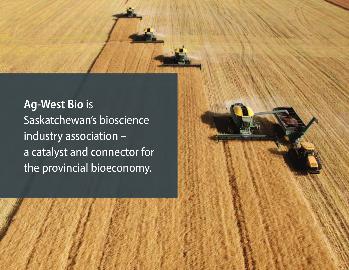Ag-West Bio is Saskatchewan's bioscience industry association – a catalyst and connector for the provincial bioeconomy.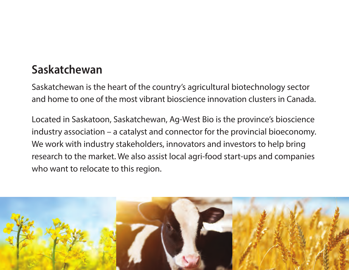### **Saskatchewan**

Saskatchewan is the heart of the country's agricultural biotechnology sector and home to one of the most vibrant bioscience innovation clusters in Canada.

Located in Saskatoon, Saskatchewan, Ag-West Bio is the province's bioscience industry association – a catalyst and connector for the provincial bioeconomy. We work with industry stakeholders, innovators and investors to help bring research to the market. We also assist local agri-food start-ups and companies who want to relocate to this region.

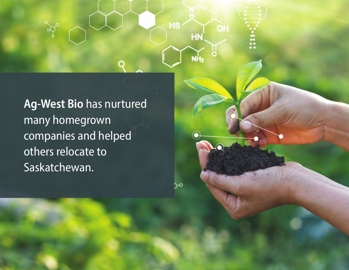Ag-West Bio has nurtured many homegrown companies and helped others relocate to Saskatchewan.

O

**HS** 

 $\sim$ 

HN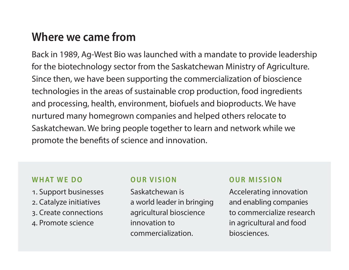### **Where we came from**

Back in 1989, Ag-West Bio was launched with a mandate to provide leadership for the biotechnology sector from the Saskatchewan Ministry of Agriculture. Since then, we have been supporting the commercialization of bioscience technologies in the areas of sustainable crop production, food ingredients and processing, health, environment, biofuels and bioproducts. We have nurtured many homegrown companies and helped others relocate to Saskatchewan. We bring people together to learn and network while we promote the benefits of science and innovation.

#### WHAT WE DO

- 1. Support businesses
- 2. Catalyze initiatives
- 3. Create connections
- 4. Promote science

#### **O U R V I S I O N**

Saskatchewan is a world leader in bringing agricultural bioscience innovation to commercialization.

#### **OUR MISSION**

Accelerating innovation and enabling companies to commercialize research in agricultural and food biosciences.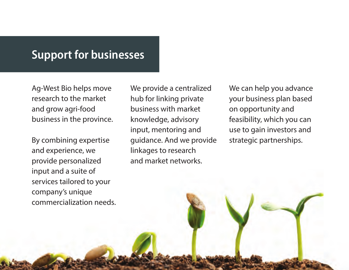#### Support for businesses

Ag-West Bio helps move research to the market and grow agri-food business in the province.

By combining expertise and experience, we provide personalized input and a suite of services tailored to your company's unique commercialization needs. We provide a centralized hub for linking private business with market knowledge, advisory input, mentoring and guidance. And we provide linkages to research and market networks.

We can help you advance your business plan based on opportunity and feasibility, which you can use to gain investors and strategic partnerships.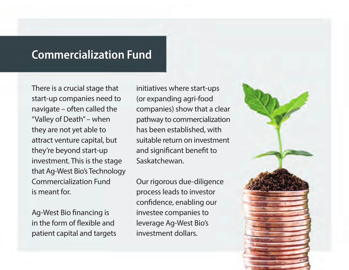### Commercialization Fund

There is a crucial stage that start-up companies need to navigate – often called the "Valley of Death" – when they are not yet able to attract venture capital, but they're beyond start-up investment. This is the stage that Ag-West Bio's Technology Commercialization Fund is meant for.

Ag-West Bio financing is in the form of flexible and patient capital and targets

initiatives where start-ups (or expanding agri-food companies) show that a clear pathway to commercialization has been established, with suitable return on investment and significant benefit to Saskatchewan.

Our rigorous due-diligence process leads to investor confidence, enabling our investee companies to leverage Ag-West Bio's investment dollars.

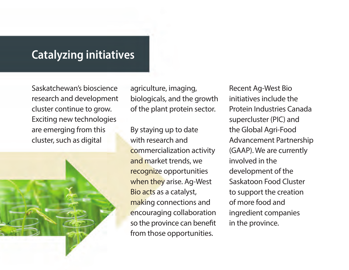### Catalyzing initiatives

Saskatchewan's bioscience research and development cluster continue to grow. Exciting new technologies are emerging from this cluster, such as digital



agriculture, imaging, biologicals, and the growth of the plant protein sector.

By staying up to date with research and commercialization activity and market trends, we recognize opportunities when they arise. Ag-West Bio acts as a catalyst, making connections and encouraging collaboration so the province can benefit from those opportunities.

Recent Ag-West Bio initiatives include the Protein Industries Canada supercluster (PIC) and the Global Agri-Food Advancement Partnership (GAAP). We are currently involved in the development of the Saskatoon Food Cluster to support the creation of more food and ingredient companies in the province.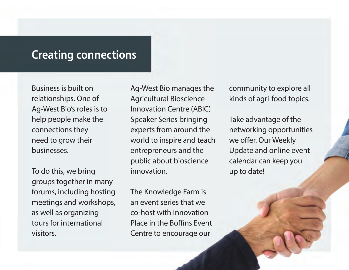### Creating connections

Business is built on relationships. One of Ag-West Bio's roles is to help people make the connections they need to grow their businesses.

To do this, we bring groups together in many forums, including hosting meetings and workshops, as well as organizing tours for international visitors.

Ag-West Bio manages the Agricultural Bioscience Innovation Centre (ABIC) Speaker Series bringing experts from around the world to inspire and teach entrepreneurs and the public about bioscience innovation.

The Knowledge Farm is an event series that we co-host with Innovation Place in the Boffins Event Centre to encourage our

community to explore all kinds of agri-food topics.

Take advantage of the networking opportunities we offer. Our Weekly Update and online event calendar can keep you up to date!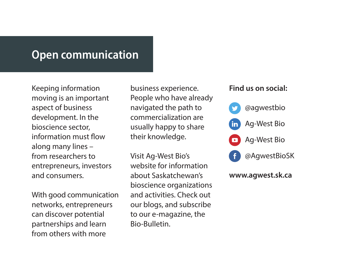#### Open communication

Keeping information moving is an important aspect of business development. In the bioscience sector, information must flow along many lines – from researchers to entrepreneurs, investors and consumers.

With good communication networks, entrepreneurs can discover potential partnerships and learn from others with more

business experience. People who have already navigated the path to commercialization are usually happy to share their knowledge.

Visit Ag-West Bio's website for information about Saskatchewan's bioscience organizations and activities. Check out our blogs, and subscribe to our e-magazine, the Bio-Bulletin.

#### **Find us on social:**



#### **www.agwest.sk.ca**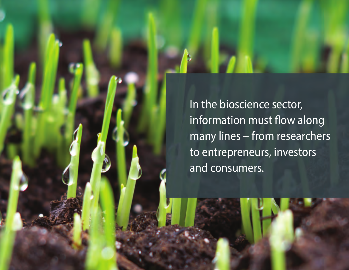In the bioscience sector, information must flow along many lines – from researchers to entrepreneurs, investors and consumers.